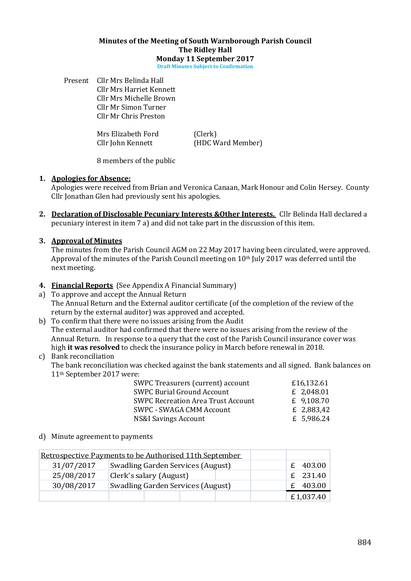#### Minutes of the Meeting of South Warnborough Parish Council The Ridley Hall Monday 11 September 2017

Draft Minutes Subject to Confirmation

Present Cllr Mrs Belinda Hall Cllr Mrs Harriet Kennett Cllr Mrs Michelle Brown Cllr Mr Simon Turner Cllr Mr Chris Preston

Mrs Elizabeth Ford (Clerk)

Cllr John Kennett (HDC Ward Member)

8 members of the public

# 1. Apologies for Absence:

Apologies were received from Brian and Veronica Canaan, Mark Honour and Colin Hersey. County Cllr Jonathan Glen had previously sent his apologies.

- 2. Declaration of Disclosable Pecuniary Interests & Other Interests. Cllr Belinda Hall declared a pecuniary interest in item 7 a) and did not take part in the discussion of this item.
- 3. Approval of Minutes

The minutes from the Parish Council AGM on 22 May 2017 having been circulated, were approved. Approval of the minutes of the Parish Council meeting on 10th July 2017 was deferred until the next meeting.

# 4. Financial Reports (See Appendix A Financial Summary)

- a) To approve and accept the Annual Return The Annual Return and the External auditor certificate (of the completion of the review of the return by the external auditor) was approved and accepted.
- b) To confirm that there were no issues arising from the Audit The external auditor had confirmed that there were no issues arising from the review of the Annual Return. In response to a query that the cost of the Parish Council insurance cover was high it was resolved to check the insurance policy in March before renewal in 2018.

# c) Bank reconciliation

The bank reconciliation was checked against the bank statements and all signed. Bank balances on 11th September 2017 were:

| SWPC Treasurers (current) account         | £16,132.61 |
|-------------------------------------------|------------|
| <b>SWPC Burial Ground Account</b>         | £ 2,048.01 |
| <b>SWPC Recreation Area Trust Account</b> | £ 9,108.70 |
| <b>SWPC - SWAGA CMM Account</b>           | £ 2,883,42 |
| <b>NS&amp;I Savings Account</b>           | £ 5,986.24 |

d) Minute agreement to payments

|            | Retrospective Payments to be Authorised 11th September |           |
|------------|--------------------------------------------------------|-----------|
| 31/07/2017 | Swadling Garden Services (August)                      | £ 403.00  |
| 25/08/2017 | Clerk's salary (August)                                | £ 231.40  |
| 30/08/2017 | Swadling Garden Services (August)                      | 403.00    |
|            |                                                        | £1,037.40 |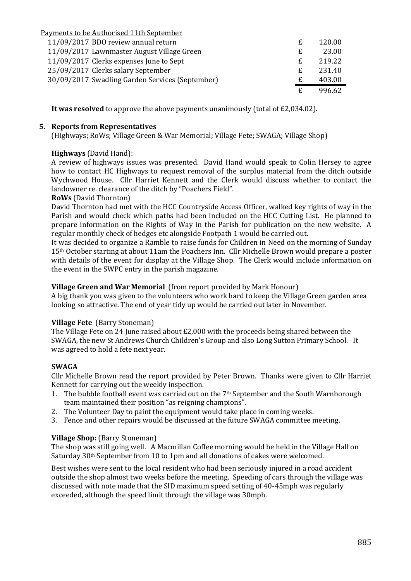| Payments to be Authorised 11th September        |   |        |
|-------------------------------------------------|---|--------|
| 11/09/2017 BDO review annual return             | £ | 120.00 |
| 11/09/2017 Lawnmaster August Village Green      | £ | 23.00  |
| 11/09/2017 Clerks expenses June to Sept         | £ | 219.22 |
| 25/09/2017 Clerks salary September              | £ | 231.40 |
| 30/09/2017 Swadling Garden Services (September) | £ | 403.00 |
|                                                 |   | 996.62 |

It was resolved to approve the above payments unanimously (total of £2,034.02).

## 5. Reports from Representatives

(Highways; RoWs; Village Green & War Memorial; Village Fete; SWAGA; Village Shop)

# Highways (David Hand):

A review of highways issues was presented. David Hand would speak to Colin Hersey to agree how to contact HC Highways to request removal of the surplus material from the ditch outside Wychwood House. Cllr Harriet Kennett and the Clerk would discuss whether to contact the landowner re. clearance of the ditch by "Poachers Field".

# RoWs (David Thornton)

David Thornton had met with the HCC Countryside Access Officer, walked key rights of way in the Parish and would check which paths had been included on the HCC Cutting List. He planned to prepare information on the Rights of Way in the Parish for publication on the new website. A regular monthly check of hedges etc alongside Footpath 1 would be carried out.

It was decided to organize a Ramble to raise funds for Children in Need on the morning of Sunday 15th October starting at about 11am the Poachers Inn. Cllr Michelle Brown would prepare a poster with details of the event for display at the Village Shop. The Clerk would include information on the event in the SWPC entry in the parish magazine.

## Village Green and War Memorial (from report provided by Mark Honour)

A big thank you was given to the volunteers who work hard to keep the Village Green garden area looking so attractive. The end of year tidy up would be carried out later in November.

#### Village Fete (Barry Stoneman)

The Village Fete on 24 June raised about £2,000 with the proceeds being shared between the SWAGA, the new St Andrews Church Children's Group and also Long Sutton Primary School. It was agreed to hold a fete next year.

# SWAGA

Cllr Michelle Brown read the report provided by Peter Brown. Thanks were given to Cllr Harriet Kennett for carrying out the weekly inspection.

- 1. The bubble football event was carried out on the 7<sup>th</sup> September and the South Warnborough team maintained their position "as reigning champions".
- 2. The Volunteer Day to paint the equipment would take place in coming weeks.
- 3. Fence and other repairs would be discussed at the future SWAGA committee meeting.

#### Village Shop: (Barry Stoneman)

The shop was still going well. A Macmillan Coffee morning would be held in the Village Hall on Saturday 30th September from 10 to 1pm and all donations of cakes were welcomed.

Best wishes were sent to the local resident who had been seriously injured in a road accident outside the shop almost two weeks before the meeting. Speeding of cars through the village was discussed with note made that the SID maximum speed setting of 40-45mph was regularly exceeded, although the speed limit through the village was 30mph.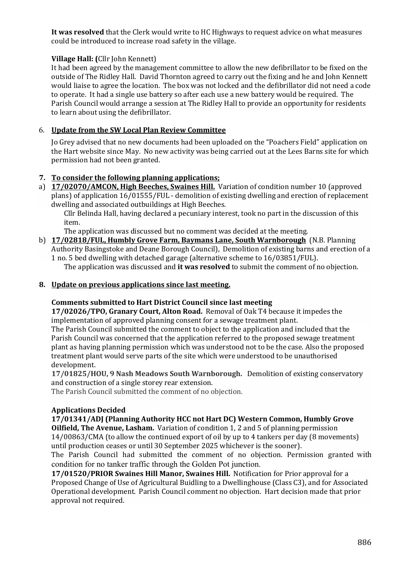It was resolved that the Clerk would write to HC Highways to request advice on what measures could be introduced to increase road safety in the village.

# Village Hall: (Cllr John Kennett)

It had been agreed by the management committee to allow the new defibrillator to be fixed on the outside of The Ridley Hall. David Thornton agreed to carry out the fixing and he and John Kennett would liaise to agree the location. The box was not locked and the defibrillator did not need a code to operate. It had a single use battery so after each use a new battery would be required. The Parish Council would arrange a session at The Ridley Hall to provide an opportunity for residents to learn about using the defibrillator.

# 6. Update from the SW Local Plan Review Committee

Jo Grey advised that no new documents had been uploaded on the "Poachers Field" application on the Hart website since May. No new activity was being carried out at the Lees Barns site for which permission had not been granted.

# 7. To consider the following planning applications;

a) 17/02070/AMCON, High Beeches, Swaines Hill. Variation of condition number 10 (approved plans) of application 16/01555/FUL - demolition of existing dwelling and erection of replacement dwelling and associated outbuildings at High Beeches.

Cllr Belinda Hall, having declared a pecuniary interest, took no part in the discussion of this item.

The application was discussed but no comment was decided at the meeting.

b) 17/02818/FUL, Humbly Grove Farm, Baymans Lane, South Warnborough (N.B. Planning Authority Basingstoke and Deane Borough Council), Demolition of existing barns and erection of a 1 no. 5 bed dwelling with detached garage (alternative scheme to 16/03851/FUL).

The application was discussed and **it was resolved** to submit the comment of no objection.

#### 8. Update on previous applications since last meeting.

#### Comments submitted to Hart District Council since last meeting

17/02026/TPO, Granary Court, Alton Road. Removal of Oak T4 because it impedes the implementation of approved planning consent for a sewage treatment plant.

The Parish Council submitted the comment to object to the application and included that the Parish Council was concerned that the application referred to the proposed sewage treatment plant as having planning permission which was understood not to be the case. Also the proposed treatment plant would serve parts of the site which were understood to be unauthorised development.

17/01825/HOU, 9 Nash Meadows South Warnborough. Demolition of existing conservatory and construction of a single storey rear extension.

The Parish Council submitted the comment of no objection.

#### Applications Decided

17/01341/ADJ (Planning Authority HCC not Hart DC) Western Common, Humbly Grove Oilfield, The Avenue, Lasham. Variation of condition 1, 2 and 5 of planning permission 14/00863/CMA (to allow the continued export of oil by up to 4 tankers per day (8 movements) until production ceases or until 30 September 2025 whichever is the sooner).

The Parish Council had submitted the comment of no objection. Permission granted with condition for no tanker traffic through the Golden Pot junction.

17/01520/PRIOR Swaines Hill Manor, Swaines Hill. Notification for Prior approval for a Proposed Change of Use of Agricultural Buidling to a Dwellinghouse (Class C3), and for Associated Operational development. Parish Council comment no objection. Hart decision made that prior approval not required.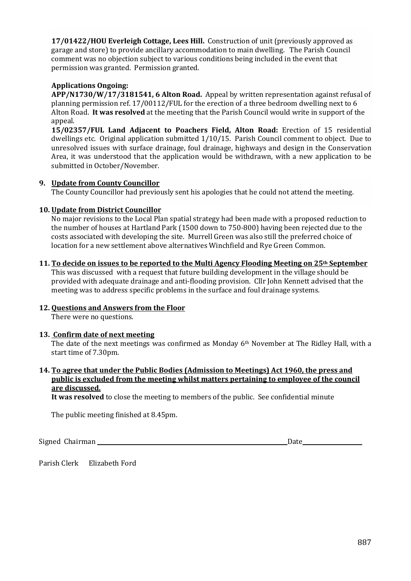17/01422/HOU Everleigh Cottage, Lees Hill. Construction of unit (previously approved as garage and store) to provide ancillary accommodation to main dwelling. The Parish Council comment was no objection subject to various conditions being included in the event that permission was granted. Permission granted.

# Applications Ongoing:

APP/N1730/W/17/3181541, 6 Alton Road. Appeal by written representation against refusal of planning permission ref. 17/00112/FUL for the erection of a three bedroom dwelling next to 6 Alton Road. It was resolved at the meeting that the Parish Council would write in support of the appeal.

15/02357/FUL Land Adjacent to Poachers Field, Alton Road: Erection of 15 residential dwellings etc. Original application submitted 1/10/15. Parish Council comment to object. Due to unresolved issues with surface drainage, foul drainage, highways and design in the Conservation Area, it was understood that the application would be withdrawn, with a new application to be submitted in October/November.

#### 9. Update from County Councillor

The County Councillor had previously sent his apologies that he could not attend the meeting.

# 10. Update from District Councillor

No major revisions to the Local Plan spatial strategy had been made with a proposed reduction to the number of houses at Hartland Park (1500 down to 750-800) having been rejected due to the costs associated with developing the site. Murrell Green was also still the preferred choice of location for a new settlement above alternatives Winchfield and Rye Green Common.

#### 11. To decide on issues to be reported to the Multi Agency Flooding Meeting on 25th September

This was discussed with a request that future building development in the village should be provided with adequate drainage and anti-flooding provision. Cllr John Kennett advised that the meeting was to address specific problems in the surface and foul drainage systems.

#### 12. Questions and Answers from the Floor

There were no questions.

#### 13. Confirm date of next meeting

The date of the next meetings was confirmed as Monday 6th November at The Ridley Hall, with a start time of 7.30pm.

# 14. To agree that under the Public Bodies (Admission to Meetings) Act 1960, the press and public is excluded from the meeting whilst matters pertaining to employee of the council are discussed.

It was resolved to close the meeting to members of the public. See confidential minute

The public meeting finished at 8.45pm.

Signed Chairman Date

Parish Clerk Elizabeth Ford